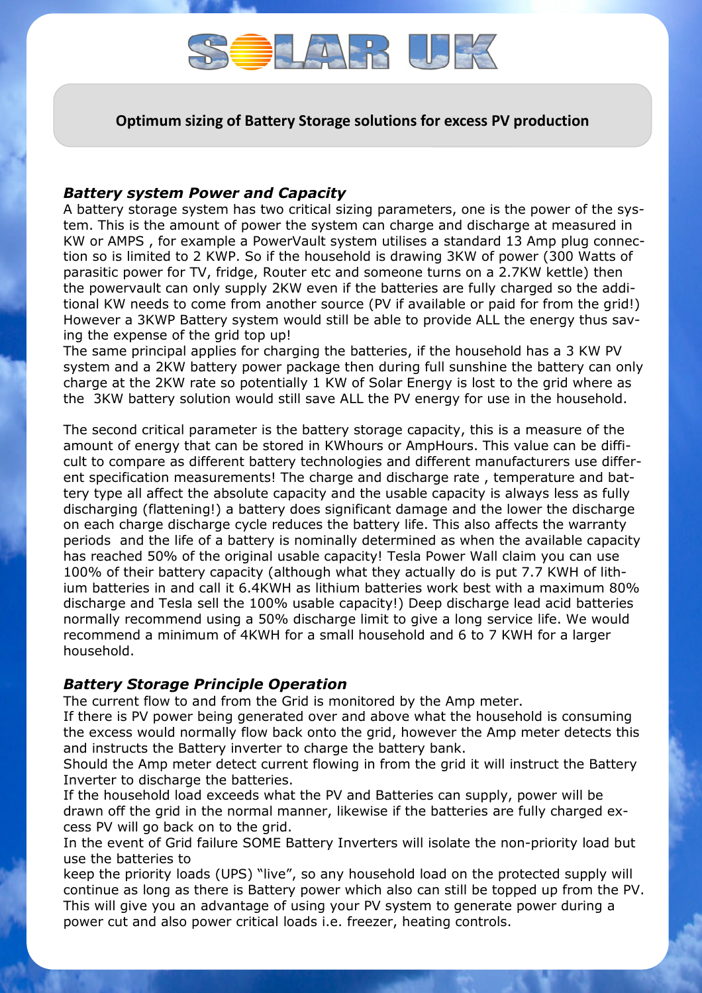

**Optimum sizing of Battery Storage solutions for excess PV production**

## *Battery system Power and Capacity*

A battery storage system has two critical sizing parameters, one is the power of the system. This is the amount of power the system can charge and discharge at measured in KW or AMPS , for example a PowerVault system utilises a standard 13 Amp plug connection so is limited to 2 KWP. So if the household is drawing 3KW of power (300 Watts of parasitic power for TV, fridge, Router etc and someone turns on a 2.7KW kettle) then the powervault can only supply 2KW even if the batteries are fully charged so the additional KW needs to come from another source (PV if available or paid for from the grid!) However a 3KWP Battery system would still be able to provide ALL the energy thus saving the expense of the grid top up!

The same principal applies for charging the batteries, if the household has a 3 KW PV system and a 2KW battery power package then during full sunshine the battery can only charge at the 2KW rate so potentially 1 KW of Solar Energy is lost to the grid where as the 3KW battery solution would still save ALL the PV energy for use in the household.

The second critical parameter is the battery storage capacity, this is a measure of the amount of energy that can be stored in KWhours or AmpHours. This value can be difficult to compare as different battery technologies and different manufacturers use different specification measurements! The charge and discharge rate , temperature and battery type all affect the absolute capacity and the usable capacity is always less as fully discharging (flattening!) a battery does significant damage and the lower the discharge on each charge discharge cycle reduces the battery life. This also affects the warranty periods and the life of a battery is nominally determined as when the available capacity has reached 50% of the original usable capacity! Tesla Power Wall claim you can use 100% of their battery capacity (although what they actually do is put 7.7 KWH of lithium batteries in and call it 6.4KWH as lithium batteries work best with a maximum 80% discharge and Tesla sell the 100% usable capacity!) Deep discharge lead acid batteries normally recommend using a 50% discharge limit to give a long service life. We would recommend a minimum of 4KWH for a small household and 6 to 7 KWH for a larger household.

## *Battery Storage Principle Operation*

The current flow to and from the Grid is monitored by the Amp meter.

If there is PV power being generated over and above what the household is consuming the excess would normally flow back onto the grid, however the Amp meter detects this and instructs the Battery inverter to charge the battery bank.

Should the Amp meter detect current flowing in from the grid it will instruct the Battery Inverter to discharge the batteries.

If the household load exceeds what the PV and Batteries can supply, power will be drawn off the grid in the normal manner, likewise if the batteries are fully charged excess PV will go back on to the grid.

In the event of Grid failure SOME Battery Inverters will isolate the non-priority load but use the batteries to

keep the priority loads (UPS) "live", so any household load on the protected supply will continue as long as there is Battery power which also can still be topped up from the PV. This will give you an advantage of using your PV system to generate power during a power cut and also power critical loads i.e. freezer, heating controls.